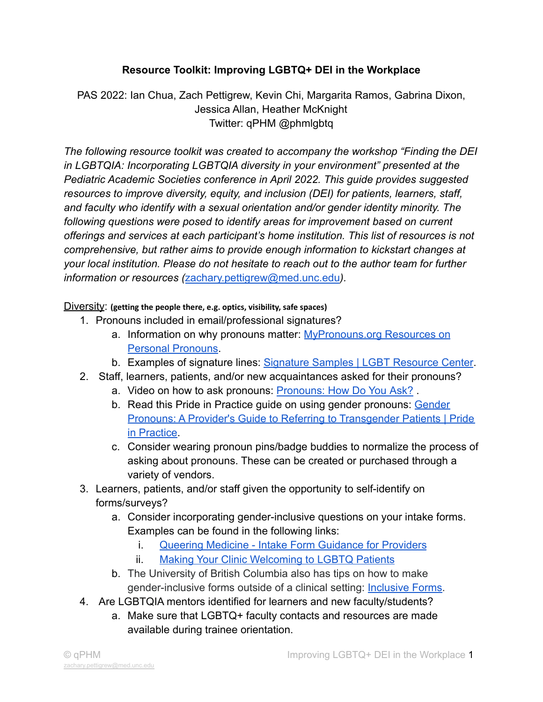## **Resource Toolkit: Improving LGBTQ+ DEI in the Workplace**

PAS 2022: Ian Chua, Zach Pettigrew, Kevin Chi, Margarita Ramos, Gabrina Dixon, Jessica Allan, Heather McKnight Twitter: qPHM @phmlgbtq

*The following resource toolkit was created to accompany the workshop "Finding the DEI in LGBTQIA: Incorporating LGBTQIA diversity in your environment" presented at the Pediatric Academic Societies conference in April 2022. This guide provides suggested resources to improve diversity, equity, and inclusion (DEI) for patients, learners, staff, and faculty who identify with a sexual orientation and/or gender identity minority. The following questions were posed to identify areas for improvement based on current offerings and services at each participant's home institution. This list of resources is not comprehensive, but rather aims to provide enough information to kickstart changes at your local institution. Please do not hesitate to reach out to the author team for further information or resources (*[zachary.pettigrew@med.unc.edu](mailto:zachary.pettigrew@med.unc.edu)*).*

Diversity: **(getting the people there, e.g. optics, visibility, safe spaces)**

- 1. Pronouns included in email/professional signatures?
	- a. Information on why pronouns matter: [MyPronouns.org](https://www.mypronouns.org) Resources on [Personal Pronouns](https://www.mypronouns.org).
	- b. Examples of signature lines: [Signature Samples | LGBT](https://lgbt.ucsf.edu/signature-samples) Resource Center.
- 2. Staff, learners, patients, and/or new acquaintances asked for their pronouns?
	- a. Video on how to ask pronouns: [Pronouns: How Do You](https://youtu.be/r-al4liNLBU) Ask? .
	- b. Read this Pride in Practice guide on using gender pronouns: [Gender](https://www.prideinpractice.org/articles/transgender-pronouns-guide/) [Pronouns: A Provider's Guide to Referring to Transgender Patients | Pride](https://www.prideinpractice.org/articles/transgender-pronouns-guide/) [in Practice](https://www.prideinpractice.org/articles/transgender-pronouns-guide/).
	- c. Consider wearing pronoun pins/badge buddies to normalize the process of asking about pronouns. These can be created or purchased through a variety of vendors.
- 3. Learners, patients, and/or staff given the opportunity to self-identify on forms/surveys?
	- a. Consider incorporating gender-inclusive questions on your intake forms. Examples can be found in the following links:
		- i. [Queering Medicine Intake Form Guidance for Providers](https://www.queeringmedicine.com/resources/intake-form-guidance-for-providers)
		- ii. [Making Your Clinic Welcoming to LGBTQ Patients](http://unmfm.pbworks.com/w/file/fetch/110464234/Making%20Your%20Clinic%20Welcoming%20to%20LGBTQ%20Patients.pdf)
	- b. The University of British Columbia also has tips on how to make gender-inclusive forms outside of a clinical setting: [Inclusive Forms.](https://equity.ubc.ca/resources/gender-diversity/inclusive-forms/)
- 4. Are LGBTQIA mentors identified for learners and new faculty/students?
	- a. Make sure that LGBTQ+ faculty contacts and resources are made available during trainee orientation.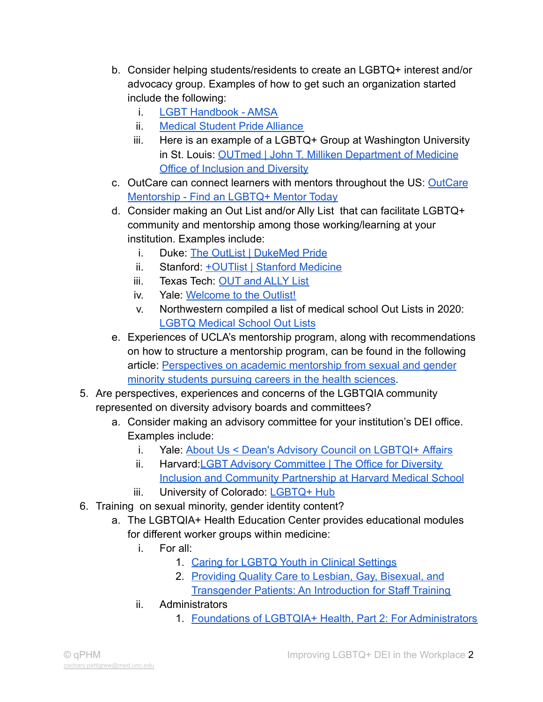- b. Consider helping students/residents to create an LGBTQ+ interest and/or advocacy group. Examples of how to get such an organization started include the following:
	- i. [LGBT Handbook AMSA](https://www.amsa.org/action-committee/gender-and-sexuality/lgbt-handbook/)
	- ii. [Medical Student Pride Alliance](https://www.medpride.org)
	- iii. Here is an example of a LGBTQ+ Group at Washington University in St. Louis: [OUTmed | John T. Milliken Department](https://internalmedicinediversity.wustl.edu/outmed/) of Medicine [Office of Inclusion and Diversity](https://internalmedicinediversity.wustl.edu/outmed/)
- c. OutCare can connect learners with mentors throughout the US: [OutCare](https://www.outcarehealth.org/mentorship/) [Mentorship - Find an LGBTQ+ Mentor Today](https://www.outcarehealth.org/mentorship/)
- d. Consider making an Out List and/or Ally List that can facilitate LGBTQ+ community and mentorship among those working/learning at your institution. Examples include:
	- i. Duke: [The OutList | DukeMed Pride](https://sites.duke.edu/dukemedpride/the-outlist/)
	- ii. Stanford: [+OUTlist | Stanford Medicine](https://med.stanford.edu/lgbtqmeds/outlist.html)
	- iii. Texas Tech: [OUT and ALLY List](https://elpaso.ttuhsc.edu/digh/diversity-and-inclusion/LGBT-initiatives/OUT-and-ALLY.aspx)
	- iv. Yale: [Welcome to the Outlist!](https://medicine.yale.edu/lgbtqi/medicineoutlist/)
	- v. Northwestern compiled a list of medical school Out Lists in 2020: [LGBTQ Medical School Out Lists](https://www.northwestern.edu/health-professions-advising/docs/out-lists-for-web.pdf)
- e. Experiences of UCLA's mentorship program, along with recommendations on how to structure a mentorship program, can be found in the following article: [Perspectives on academic mentorship from](https://pubmed.ncbi.nlm.nih.gov/31070420/) sexual and gender [minority students pursuing careers in the health sciences](https://pubmed.ncbi.nlm.nih.gov/31070420/).
- 5. Are perspectives, experiences and concerns of the LGBTQIA community represented on diversity advisory boards and committees?
	- a. Consider making an advisory committee for your institution's DEI office. Examples include:
		- i. Yale: [About Us < Dean's Advisory Council on LGBTQI+](https://medicine.yale.edu/lgbtqi/about/) Affairs
		- ii. Harvard:LGBT [Advisory Committee | The Office for Diversity](https://dicp.hms.harvard.edu/dcp-programs/lgbt/who-are-we/lgbt-advisory-committee) [Inclusion and Community Partnership at Harvard Medical School](https://dicp.hms.harvard.edu/dcp-programs/lgbt/who-are-we/lgbt-advisory-committee)
		- iii. University of Colorado: [LGBTQ+ Hub](https://www.cuanschutz.edu/offices/diversity-equity-inclusion-community/programs-and-initiatives/lgbtq-hub)
- 6. Training on sexual minority, gender identity content?
	- a. The LGBTQIA+ Health Education Center provides educational modules for different worker groups within medicine:
		- i. For all:
			- 1. [Caring for LGBTQ Youth in Clinical Settings](https://www.lgbtqiahealtheducation.org/courses/caring-for-lgbtq-youth-in-clinical-settings/)
			- 2. [Providing Quality Care to Lesbian, Gay, Bisexual, and](https://www.lgbtqiahealtheducation.org/courses/providing-quality-care-to-lesbian-gay-bisexual-and-transgender-patients-an-introduction-for-staff-training/) [Transgender Patients: An Introduction for Staff Training](https://www.lgbtqiahealtheducation.org/courses/providing-quality-care-to-lesbian-gay-bisexual-and-transgender-patients-an-introduction-for-staff-training/)
		- ii. Administrators
			- 1. [Foundations of LGBTQIA+ Health, Part 2: For Administrators](https://www.lgbtqiahealtheducation.org/courses/foundations-of-lgbtqia-health-for-administrators/)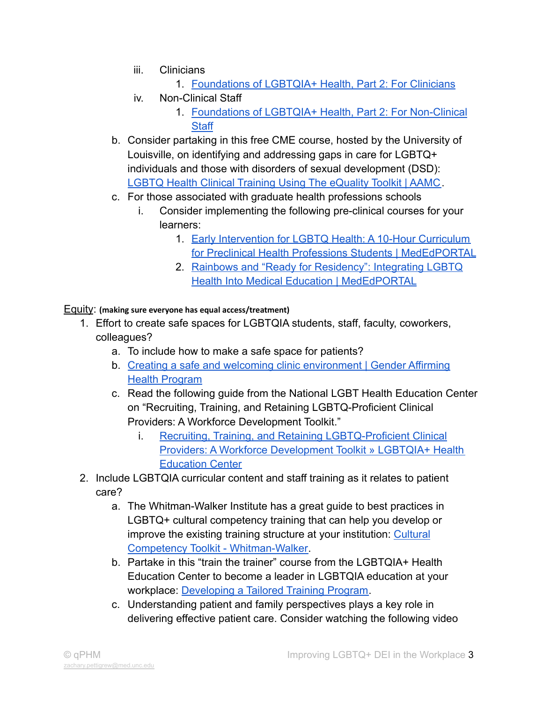- iii. Clinicians
	- 1. [Foundations of LGBTQIA+ Health, Part 2: For Clinicians](https://www.lgbtqiahealtheducation.org/courses/foundations-of-lgbtqia-health-for-clinicians/)
- iv. Non-Clinical Staff
	- 1. [Foundations of LGBTQIA+ Health, Part 2: For Non-Clinical](https://www.lgbtqiahealtheducation.org/courses/foundations-of-lgbtqia-health-for-non-clinical-staff/) **[Staff](https://www.lgbtqiahealtheducation.org/courses/foundations-of-lgbtqia-health-for-non-clinical-staff/)**
- b. Consider partaking in this free CME course, hosted by the University of Louisville, on identifying and addressing gaps in care for LGBTQ+ individuals and those with disorders of sexual development (DSD): [LGBTQ Health Clinical Training Using The eQuality Toolkit | AAMC](https://www.aamc.org/resource-library/clinical-teaching-and-learning-experiences/lgbtq-health-clinical-training-using-equality-toolkit).
- c. For those associated with graduate health professions schools
	- i. Consider implementing the following pre-clinical courses for your learners:
		- 1. [Early Intervention for LGBTQ Health: A 10-Hour Curriculum](https://www.mededportal.org/doi/10.15766/mep_2374-8265.11072) [for Preclinical Health Professions Students | MedEdPORTAL](https://www.mededportal.org/doi/10.15766/mep_2374-8265.11072)
		- 2. [Rainbows and "Ready for Residency": Integrating LGBTQ](https://www.mededportal.org/doi/10.15766/mep_2374-8265.11013) [Health Into Medical Education | MedEdPORTAL](https://www.mededportal.org/doi/10.15766/mep_2374-8265.11013)

## Equity: **(making sure everyone has equal access/treatment)**

- 1. Effort to create safe spaces for LGBTQIA students, staff, faculty, coworkers, colleagues?
	- a. To include how to make a safe space for patients?
	- b. [Creating a safe and welcoming clinic environment | Gender Affirming](https://transcare.ucsf.edu/guidelines/clinic-environment) [Health Program](https://transcare.ucsf.edu/guidelines/clinic-environment)
	- c. Read the following guide from the National LGBT Health Education Center on "Recruiting, Training, and Retaining LGBTQ-Proficient Clinical Providers: A Workforce Development Toolkit."
		- i. [Recruiting, Training, and Retaining LGBTQ-Proficient Clinical](https://www.lgbtqiahealtheducation.org/publication/recruiting-training-and-retaining-lgbtq-proficient-clinical-providers-a-workforce-development-toolkit/) [Providers: A Workforce Development Toolkit » LGBTQIA+ Health](https://www.lgbtqiahealtheducation.org/publication/recruiting-training-and-retaining-lgbtq-proficient-clinical-providers-a-workforce-development-toolkit/) [Education Center](https://www.lgbtqiahealtheducation.org/publication/recruiting-training-and-retaining-lgbtq-proficient-clinical-providers-a-workforce-development-toolkit/)
- 2. Include LGBTQIA curricular content and staff training as it relates to patient care?
	- a. The Whitman-Walker Institute has a great guide to best practices in LGBTQ+ cultural competency training that can help you develop or improve the existing training structure at your institution: [Cultural](https://whitmanwalkerimpact.org/cc-toolkit/) [Competency Toolkit - Whitman-Walker.](https://whitmanwalkerimpact.org/cc-toolkit/)
	- b. Partake in this "train the trainer" course from the LGBTQIA+ Health Education Center to become a leader in LGBTQIA education at your workplace: [Developing a Tailored Training Program.](https://www.lgbtqiahealtheducation.org/courses/developing-a-tailored-training-program/)
	- c. Understanding patient and family perspectives plays a key role in delivering effective patient care. Consider watching the following video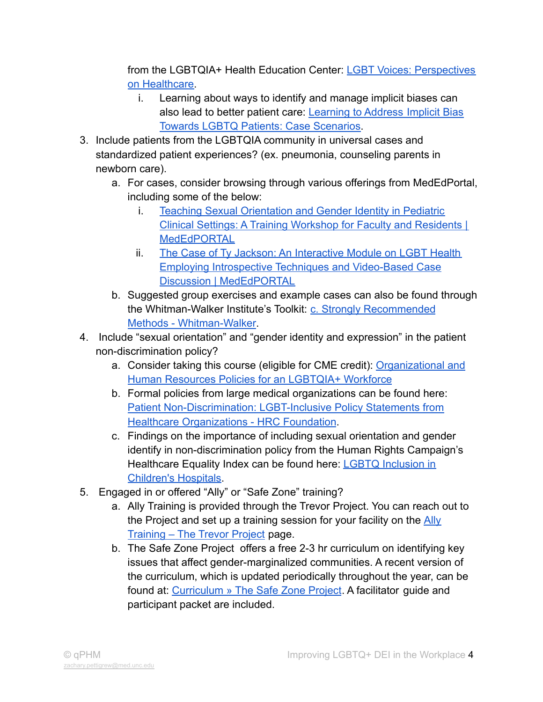from the LGBTQIA+ Health Education Center: [LGBT Voices: Perspectives](https://www.lgbtqiahealtheducation.org/video/lgbt-voices-perspectives-on-healthcare/) [on Healthcare.](https://www.lgbtqiahealtheducation.org/video/lgbt-voices-perspectives-on-healthcare/)

- i. Learning about ways to identify and manage implicit biases can also lead to better patient care: [Learning to Address](https://www.lgbtqiahealtheducation.org/publication/learning-to-address-implicit-bias-towards-lgbtq-patients-case-scenarios/) Implicit Bias [Towards LGBTQ Patients: Case Scenarios.](https://www.lgbtqiahealtheducation.org/publication/learning-to-address-implicit-bias-towards-lgbtq-patients-case-scenarios/)
- 3. Include patients from the LGBTQIA community in universal cases and standardized patient experiences? (ex. pneumonia, counseling parents in newborn care).
	- a. For cases, consider browsing through various offerings from MedEdPortal, including some of the below:
		- i. [Teaching Sexual Orientation and Gender Identity in Pediatric](https://www.mededportal.org/doi/10.15766/mep_2374-8265.11137) Clinical Settings: A [Training Workshop for Faculty and Residents |](https://www.mededportal.org/doi/10.15766/mep_2374-8265.11137) [MedEdPORTAL](https://www.mededportal.org/doi/10.15766/mep_2374-8265.11137)
		- ii. [The Case of Ty Jackson: An Interactive Module on LGBT Health](https://www.mededportal.org/doi/10.15766/mep_2374-8265.10828) [Employing Introspective Techniques and Video-Based Case](https://www.mededportal.org/doi/10.15766/mep_2374-8265.10828) [Discussion | MedEdPORTAL](https://www.mededportal.org/doi/10.15766/mep_2374-8265.10828)
	- b. Suggested group exercises and example cases can also be found through the Whitman-Walker Institute's Toolkit: c. Strongly [Recommended](https://whitmanwalkerimpact.org/cc-toolkit/delivering-effective-trainings/strongly-recommended-methods/) [Methods - Whitman-Walker.](https://whitmanwalkerimpact.org/cc-toolkit/delivering-effective-trainings/strongly-recommended-methods/)
- 4. Include "sexual orientation" and "gender identity and expression" in the patient non-discrimination policy?
	- a. Consider taking this course (eligible for CME credit): [Organizational and](https://www.lgbtqiahealtheducation.org/courses/organizational-and-human-resources-policies-for-an-lgbtqia-workforce/) [Human Resources Policies for an LGBTQIA+ Workforce](https://www.lgbtqiahealtheducation.org/courses/organizational-and-human-resources-policies-for-an-lgbtqia-workforce/)
	- b. Formal policies from large medical organizations can be found here: [Patient Non-Discrimination: LGBT-Inclusive Policy Statements from](https://www.thehrcfoundation.org/professional-resources/patient-non-discrimination-lgbt-inclusive-policy-statements-from-healthcare) [Healthcare Organizations - HRC Foundation](https://www.thehrcfoundation.org/professional-resources/patient-non-discrimination-lgbt-inclusive-policy-statements-from-healthcare).
	- c. Findings on the importance of including sexual orientation and gender identify in non-discrimination policy from the Human Rights Campaign's Healthcare Equality Index can be found here: LGBTQ [Inclusion in](https://assets2.hrc.org/files/assets/resources/LGBTQ_Inclusion_in_Childrens_Hospitals.pdf) [Children's Hospitals.](https://assets2.hrc.org/files/assets/resources/LGBTQ_Inclusion_in_Childrens_Hospitals.pdf)
- 5. Engaged in or offered "Ally" or "Safe Zone" training?
	- a. Ally Training is provided through the Trevor Project. You can reach out to the Project and set up a training session for your facility on the [Ally](https://www.thetrevorproject.org/ally-training/) [Training – The Trevor Project](https://www.thetrevorproject.org/ally-training/) page.
	- b. The Safe Zone Project offers a free 2-3 hr curriculum on identifying key issues that affect gender-marginalized communities. A recent version of the curriculum, which is updated periodically throughout the year, can be found at: [Curriculum » The Safe Zone Project](https://thesafezoneproject.com/curriculum/). A facilitator guide and participant packet are included.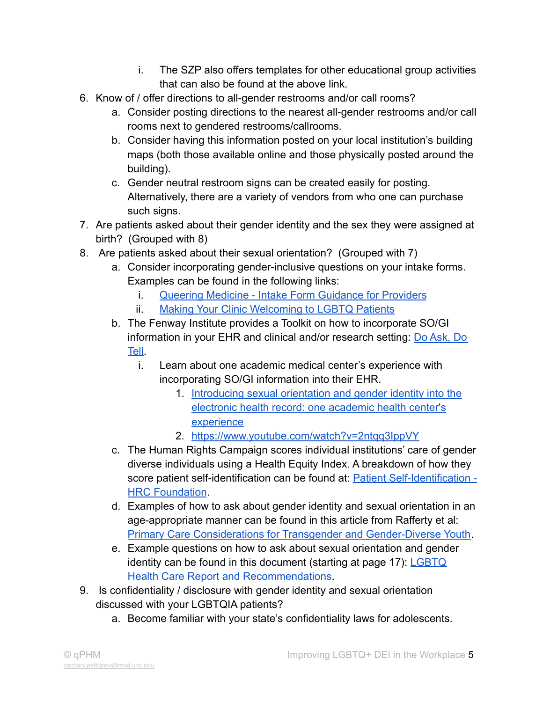- i. The SZP also offers templates for other educational group activities that can also be found at the above link.
- 6. Know of / offer directions to all-gender restrooms and/or call rooms?
	- a. Consider posting directions to the nearest all-gender restrooms and/or call rooms next to gendered restrooms/callrooms.
	- b. Consider having this information posted on your local institution's building maps (both those available online and those physically posted around the building).
	- c. Gender neutral restroom signs can be created easily for posting. Alternatively, there are a variety of vendors from who one can purchase such signs.
- 7. Are patients asked about their gender identity and the sex they were assigned at birth? (Grouped with 8)
- 8. Are patients asked about their sexual orientation? (Grouped with 7)
	- a. Consider incorporating gender-inclusive questions on your intake forms. Examples can be found in the following links:
		- i. [Queering Medicine Intake Form Guidance for Providers](https://www.queeringmedicine.com/resources/intake-form-guidance-for-providers)
		- ii. [Making Your Clinic Welcoming to LGBTQ Patients](http://unmfm.pbworks.com/w/file/fetch/110464234/Making%20Your%20Clinic%20Welcoming%20to%20LGBTQ%20Patients.pdf)
	- b. The Fenway Institute provides a Toolkit on how to incorporate SO/GI information in your EHR and clinical and/or research setting: [Do Ask, Do](https://doaskdotell.org) [Tell](https://doaskdotell.org).
		- i. Learn about one academic medical center's experience with incorporating SO/GI information into their EHR.
			- 1. [Introducing sexual orientation and gender identity into the](https://pubmed.ncbi.nlm.nih.gov/25162618/) [electronic health record: one academic health center's](https://pubmed.ncbi.nlm.nih.gov/25162618/) [experience](https://pubmed.ncbi.nlm.nih.gov/25162618/)
			- 2. <https://www.youtube.com/watch?v=2ntqq3IppVY>
	- c. The Human Rights Campaign scores individual institutions' care of gender diverse individuals using a Health Equity Index. A breakdown of how they score patient self-identification can be found at: **Patient Self-Identification** -**[HRC Foundation](https://www.thehrcfoundation.org/professional-resources/patient-self-identification)**
	- d. Examples of how to ask about gender identity and sexual orientation in an age-appropriate manner can be found in this article from Rafferty et al: [Primary Care Considerations for Transgender and Gender-Diverse Youth](https://pubmed.ncbi.nlm.nih.gov/32873559/).
	- e. Example questions on how to ask about sexual orientation and gender identity can be found in this document (starting at page 17):  $\underline{\text{LGBTQ}}$  $\underline{\text{LGBTQ}}$  $\underline{\text{LGBTQ}}$ [Health Care Report and Recommendations](https://www.qualityhealth.org/bree/wp-content/uploads/sites/8/2018/10/LGBTQ-Health-Care-Report-and-Recommendations01.pdf).
- 9. Is confidentiality / disclosure with gender identity and sexual orientation discussed with your LGBTQIA patients?
	- a. Become familiar with your state's confidentiality laws for adolescents.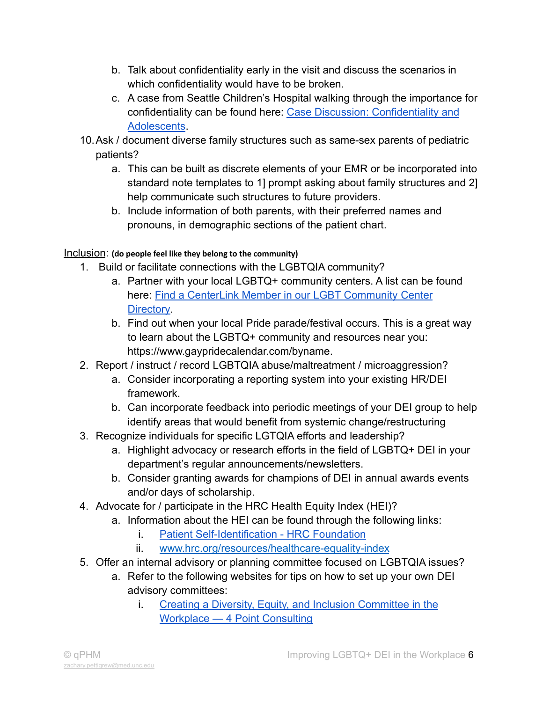- b. Talk about confidentiality early in the visit and discuss the scenarios in which confidentiality would have to be broken.
- c. A case from Seattle Children's Hospital walking through the importance for confidentiality can be found here: Case Discussion: [Confidentiality and](https://www.seattlechildrens.org/research/centers-programs/bioethics/education/case-based-teaching-guides/confidentiality/case-discussion/) [Adolescents](https://www.seattlechildrens.org/research/centers-programs/bioethics/education/case-based-teaching-guides/confidentiality/case-discussion/).
- 10.Ask / document diverse family structures such as same-sex parents of pediatric patients?
	- a. This can be built as discrete elements of your EMR or be incorporated into standard note templates to 1] prompt asking about family structures and 2] help communicate such structures to future providers.
	- b. Include information of both parents, with their preferred names and pronouns, in demographic sections of the patient chart.

## Inclusion: **(do people feel like they belong to the community)**

- 1. Build or facilitate connections with the LGBTQIA community?
	- a. Partner with your local LGBTQ+ community centers. A list can be found here: [Find a CenterLink Member in our LGBT Community](https://www.lgbtcenters.org/LGBTCenters) Center **[Directory](https://www.lgbtcenters.org/LGBTCenters)**
	- b. Find out when your local Pride parade/festival occurs. This is a great way to learn about the LGBTQ+ community and resources near you: https://www.gaypridecalendar.com/byname.
- 2. Report / instruct / record LGBTQIA abuse/maltreatment / microaggression?
	- a. Consider incorporating a reporting system into your existing HR/DEI framework.
	- b. Can incorporate feedback into periodic meetings of your DEI group to help identify areas that would benefit from systemic change/restructuring
- 3. Recognize individuals for specific LGTQIA efforts and leadership?
	- a. Highlight advocacy or research efforts in the field of LGBTQ+ DEI in your department's regular announcements/newsletters.
	- b. Consider granting awards for champions of DEI in annual awards events and/or days of scholarship.
- 4. Advocate for / participate in the HRC Health Equity Index (HEI)?
	- a. Information about the HEI can be found through the following links:
		- i. [Patient Self-Identification HRC Foundation](https://www.thehrcfoundation.org/professional-resources/patient-self-identification)
		- ii. [www.hrc.org/resources/healthcare-equality-index](https://www.hrc.org/resources/healthcare-equality-index)
- 5. Offer an internal advisory or planning committee focused on LGBTQIA issues?
	- a. Refer to the following websites for tips on how to set up your own DEI advisory committees:
		- i. [Creating a Diversity, Equity, and Inclusion Committee in the](https://www.4pointconsulting.com/resources/2020/6/15/creating-a-diversity-equity-and-inclusion-committee-in-the-workplace) [Workplace — 4 Point Consulting](https://www.4pointconsulting.com/resources/2020/6/15/creating-a-diversity-equity-and-inclusion-committee-in-the-workplace)